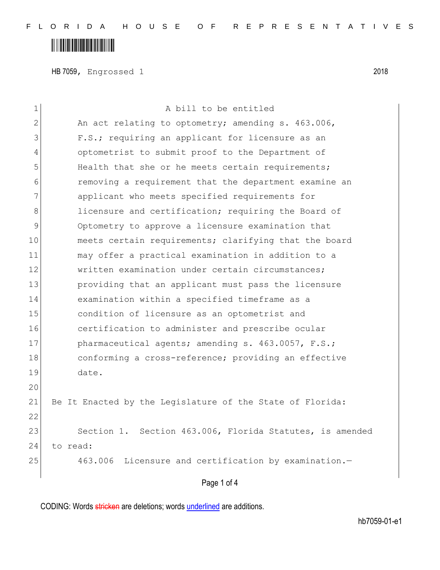# 

HB 7059, Engrossed 1 2018

| $\mathbf 1$   | A bill to be entitled                                     |
|---------------|-----------------------------------------------------------|
| $\mathbf{2}$  | An act relating to optometry; amending s. 463.006,        |
| 3             | F.S.; requiring an applicant for licensure as an          |
| 4             | optometrist to submit proof to the Department of          |
| 5             | Health that she or he meets certain requirements;         |
| 6             | removing a requirement that the department examine an     |
| 7             | applicant who meets specified requirements for            |
| 8             | licensure and certification; requiring the Board of       |
| $\mathcal{G}$ | Optometry to approve a licensure examination that         |
| 10            | meets certain requirements; clarifying that the board     |
| 11            | may offer a practical examination in addition to a        |
| 12            | written examination under certain circumstances;          |
| 13            | providing that an applicant must pass the licensure       |
| 14            | examination within a specified timeframe as a             |
| 15            | condition of licensure as an optometrist and              |
| 16            | certification to administer and prescribe ocular          |
| 17            | pharmaceutical agents; amending s. 463.0057, F.S.;        |
| 18            | conforming a cross-reference; providing an effective      |
| 19            | date.                                                     |
| 20            |                                                           |
| 21            | Be It Enacted by the Legislature of the State of Florida: |
| 22            |                                                           |
| 23            | Section 1. Section 463.006, Florida Statutes, is amended  |
| 24            | to read:                                                  |
| 25            | 463.006 Licensure and certification by examination.-      |
|               | Page 1 of 4                                               |
|               |                                                           |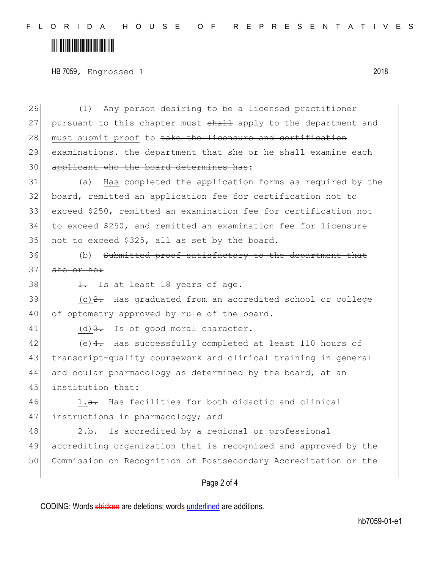F L O R I D A H O U S E O F R E P R E S E N T A T I V E S

# 

HB 7059, Engrossed 1 2018

26 (1) Any person desiring to be a licensed practitioner 27 pursuant to this chapter must shall apply to the department and 28 must submit proof to take the licensure and certification 29 examinations. the department that she or he shall examine each 30 applicant who the board determines has:

 (a) Has completed the application forms as required by the board, remitted an application fee for certification not to exceed \$250, remitted an examination fee for certification not to exceed \$250, and remitted an examination fee for licensure 35 not to exceed \$325, all as set by the board.

36 (b) Submitted proof satisfactory to the department that 37 she or he:

38  $\frac{1}{1}$ . Is at least 18 years of age.

 $39$  (c)<sup>2</sup>. Has graduated from an accredited school or college 40 of optometry approved by rule of the board.

41 (d)  $3.5$  Is of good moral character.

42 (e) 4. Has successfully completed at least 110 hours of 43 transcript-quality coursework and clinical training in general 44 and ocular pharmacology as determined by the board, at an 45 institution that:

 $46$  1.<del>a.</del> Has facilities for both didactic and clinical 47 instructions in pharmacology; and

48 2.b. Is accredited by a regional or professional 49 accrediting organization that is recognized and approved by the 50 Commission on Recognition of Postsecondary Accreditation or the

#### Page 2 of 4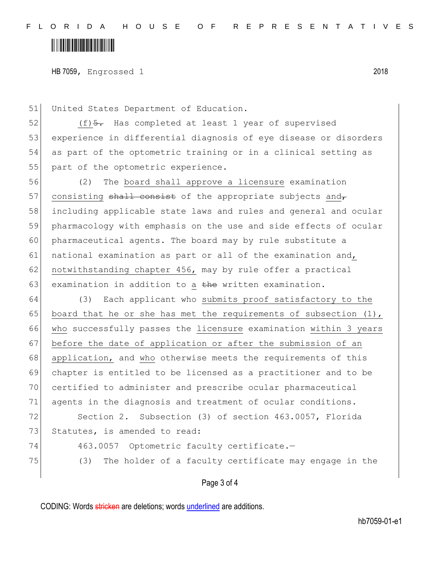### 

HB 7059, Engrossed 1 2018

51 United States Department of Education.

 (f) $\frac{5}{2}$ . Has completed at least 1 year of supervised experience in differential diagnosis of eye disease or disorders as part of the optometric training or in a clinical setting as 55 part of the optometric experience.

56 (2) The board shall approve a licensure examination 57 consisting  $shall$  consist of the appropriate subjects and 58 including applicable state laws and rules and general and ocular 59 pharmacology with emphasis on the use and side effects of ocular 60 pharmaceutical agents. The board may by rule substitute a 61 national examination as part or all of the examination and, 62 notwithstanding chapter 456, may by rule offer a practical 63 examination in addition to a the written examination.

64 (3) Each applicant who submits proof satisfactory to the 65 board that he or she has met the requirements of subsection  $(1)$ , 66 who successfully passes the licensure examination within 3 years 67 before the date of application or after the submission of an 68 application, and who otherwise meets the requirements of this 69 chapter is entitled to be licensed as a practitioner and to be 70 certified to administer and prescribe ocular pharmaceutical 71 agents in the diagnosis and treatment of ocular conditions. 72 Section 2. Subsection (3) of section 463.0057, Florida 73 Statutes, is amended to read: 74 463.0057 Optometric faculty certificate.-

75 (3) The holder of a faculty certificate may engage in the

Page 3 of 4